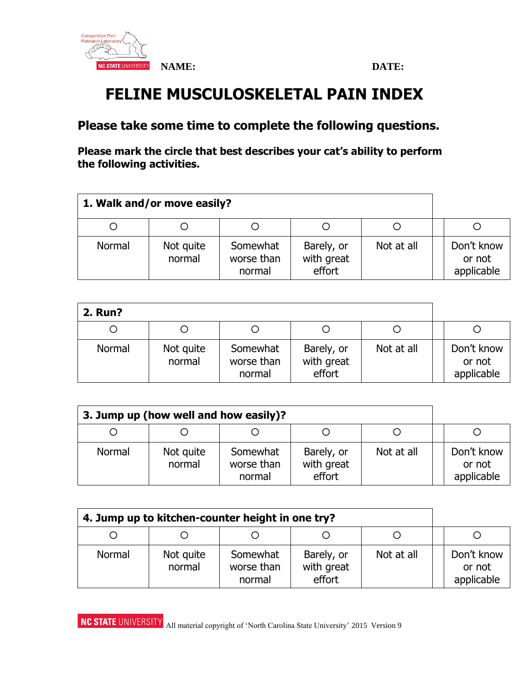

# **FELINE MUSCULOSKELETAL PAIN INDEX**

## **Please take some time to complete the following questions.**

**Please mark the circle that best describes your cat's ability to perform the following activities.** 

| 1. Walk and/or move easily? |                     |                                  |                                    |            |                                    |
|-----------------------------|---------------------|----------------------------------|------------------------------------|------------|------------------------------------|
|                             | Ő                   |                                  |                                    |            |                                    |
| Normal                      | Not quite<br>normal | Somewhat<br>worse than<br>normal | Barely, or<br>with great<br>effort | Not at all | Don't know<br>or not<br>applicable |

| <b>2. Run?</b> |                     |                                  |                                    |            |                                    |
|----------------|---------------------|----------------------------------|------------------------------------|------------|------------------------------------|
|                | Ö                   |                                  |                                    |            |                                    |
| Normal         | Not quite<br>normal | Somewhat<br>worse than<br>normal | Barely, or<br>with great<br>effort | Not at all | Don't know<br>or not<br>applicable |

| 3. Jump up (how well and how easily)? |                     |                                  |                                    |            |                                    |
|---------------------------------------|---------------------|----------------------------------|------------------------------------|------------|------------------------------------|
|                                       |                     |                                  |                                    |            |                                    |
| Normal                                | Not quite<br>normal | Somewhat<br>worse than<br>normal | Barely, or<br>with great<br>effort | Not at all | Don't know<br>or not<br>applicable |

| 4. Jump up to kitchen-counter height in one try? |                     |                                  |                                    |            |                                    |
|--------------------------------------------------|---------------------|----------------------------------|------------------------------------|------------|------------------------------------|
|                                                  |                     |                                  |                                    |            |                                    |
| Normal                                           | Not quite<br>normal | Somewhat<br>worse than<br>normal | Barely, or<br>with great<br>effort | Not at all | Don't know<br>or not<br>applicable |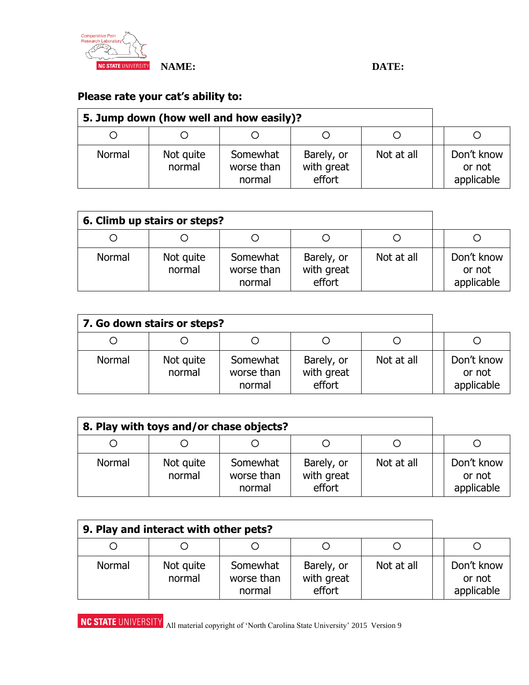

## **Please rate your cat's ability to:**

| 5. Jump down (how well and how easily)? |                     |                                  |                                    |            |                                    |
|-----------------------------------------|---------------------|----------------------------------|------------------------------------|------------|------------------------------------|
|                                         |                     |                                  |                                    |            |                                    |
| Normal                                  | Not quite<br>normal | Somewhat<br>worse than<br>normal | Barely, or<br>with great<br>effort | Not at all | Don't know<br>or not<br>applicable |

| 6. Climb up stairs or steps? |                     |                                  |                                    |            |                                    |
|------------------------------|---------------------|----------------------------------|------------------------------------|------------|------------------------------------|
|                              |                     |                                  |                                    |            |                                    |
| Normal                       | Not quite<br>normal | Somewhat<br>worse than<br>normal | Barely, or<br>with great<br>effort | Not at all | Don't know<br>or not<br>applicable |

| 7. Go down stairs or steps? |                     |                                  |                                    |            |                                    |
|-----------------------------|---------------------|----------------------------------|------------------------------------|------------|------------------------------------|
| O                           |                     |                                  |                                    |            |                                    |
| Normal                      | Not quite<br>normal | Somewhat<br>worse than<br>normal | Barely, or<br>with great<br>effort | Not at all | Don't know<br>or not<br>applicable |

| 8. Play with toys and/or chase objects? |                     |                                  |                                    |            |                                    |
|-----------------------------------------|---------------------|----------------------------------|------------------------------------|------------|------------------------------------|
|                                         |                     |                                  |                                    |            |                                    |
| Normal                                  | Not quite<br>normal | Somewhat<br>worse than<br>normal | Barely, or<br>with great<br>effort | Not at all | Don't know<br>or not<br>applicable |

| 9. Play and interact with other pets? |                     |                                  |                                    |            |                                    |
|---------------------------------------|---------------------|----------------------------------|------------------------------------|------------|------------------------------------|
|                                       |                     |                                  |                                    |            |                                    |
| Normal                                | Not quite<br>normal | Somewhat<br>worse than<br>normal | Barely, or<br>with great<br>effort | Not at all | Don't know<br>or not<br>applicable |

**NC STATE UNIVERSITY** All material copyright of 'North Carolina State University' 2015 Version 9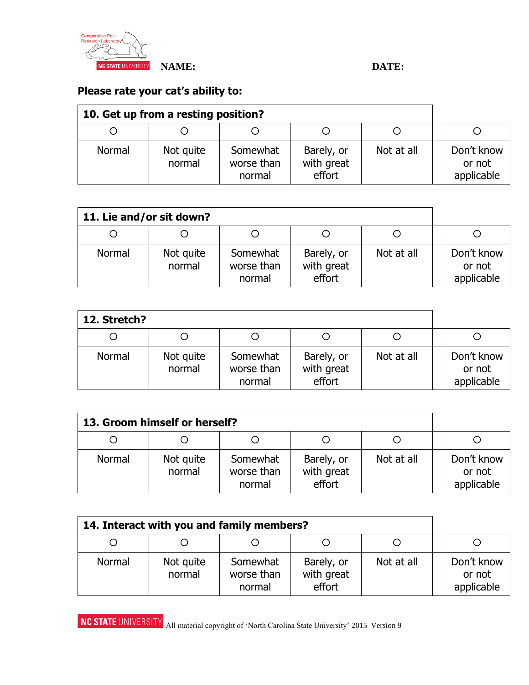

#### **NAME: DATE:**

## **Please rate your cat's ability to:**

| 10. Get up from a resting position? |                     |                                  |                                    |            |                                    |
|-------------------------------------|---------------------|----------------------------------|------------------------------------|------------|------------------------------------|
|                                     |                     |                                  |                                    |            |                                    |
| Normal                              | Not quite<br>normal | Somewhat<br>worse than<br>normal | Barely, or<br>with great<br>effort | Not at all | Don't know<br>or not<br>applicable |

| 11. Lie and/or sit down? |                     |                                  |                                    |            |                                    |
|--------------------------|---------------------|----------------------------------|------------------------------------|------------|------------------------------------|
|                          | Ő                   |                                  |                                    |            |                                    |
| Normal                   | Not quite<br>normal | Somewhat<br>worse than<br>normal | Barely, or<br>with great<br>effort | Not at all | Don't know<br>or not<br>applicable |

| 12. Stretch? |                     |                                  |                                    |            |                                    |
|--------------|---------------------|----------------------------------|------------------------------------|------------|------------------------------------|
|              | Ő                   |                                  |                                    |            |                                    |
| Normal       | Not quite<br>normal | Somewhat<br>worse than<br>normal | Barely, or<br>with great<br>effort | Not at all | Don't know<br>or not<br>applicable |

| 13. Groom himself or herself? |                     |                                  |                                    |            |                                    |
|-------------------------------|---------------------|----------------------------------|------------------------------------|------------|------------------------------------|
|                               |                     |                                  |                                    |            |                                    |
| Normal                        | Not quite<br>normal | Somewhat<br>worse than<br>normal | Barely, or<br>with great<br>effort | Not at all | Don't know<br>or not<br>applicable |

| 14. Interact with you and family members? |                     |                                  |                                    |            |                                    |
|-------------------------------------------|---------------------|----------------------------------|------------------------------------|------------|------------------------------------|
|                                           |                     |                                  |                                    |            |                                    |
| Normal                                    | Not quite<br>normal | Somewhat<br>worse than<br>normal | Barely, or<br>with great<br>effort | Not at all | Don't know<br>or not<br>applicable |

**NC STATE UNIVERSITY** All material copyright of 'North Carolina State University' 2015 Version 9